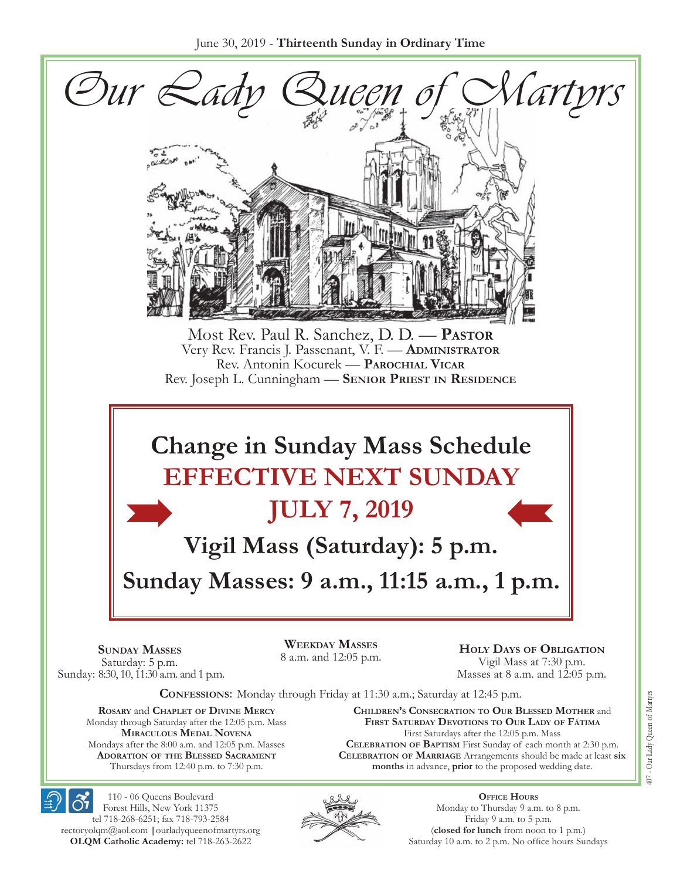

**Celebration of Baptism** First Sunday of each month at 2:30 p.m. **Celebration of Marriage** Arrangements should be made at least **six months** in advance, **prior** to the proposed wedding date.



110 - 06 Queens Boulevard Forest Hills, New York 11375 tel 718-268-6251; fax 718-793-2584 [rectoryolqm@aol.com](mailto:rectoryolqm@aol.com) **|**[ourladyqueenofmartyrs.org](www.ourladyqueenofmartyrs.org) **OLQM Catholic Academy:** tel 718-263-2622

Mondays after the 8:00 a.m. and 12:05 p.m. Masses **Adoration of the Blessed Sacrament** Thursdays from 12:40 p.m. to 7:30 p.m.



**Office Hours** Monday to Thursday 9 a.m. to 8 p.m. Friday 9 a.m. to 5 p.m. (**closed for lunch** from noon to 1 p.m.) Saturday 10 a.m. to 2 p.m. No office hours Sundays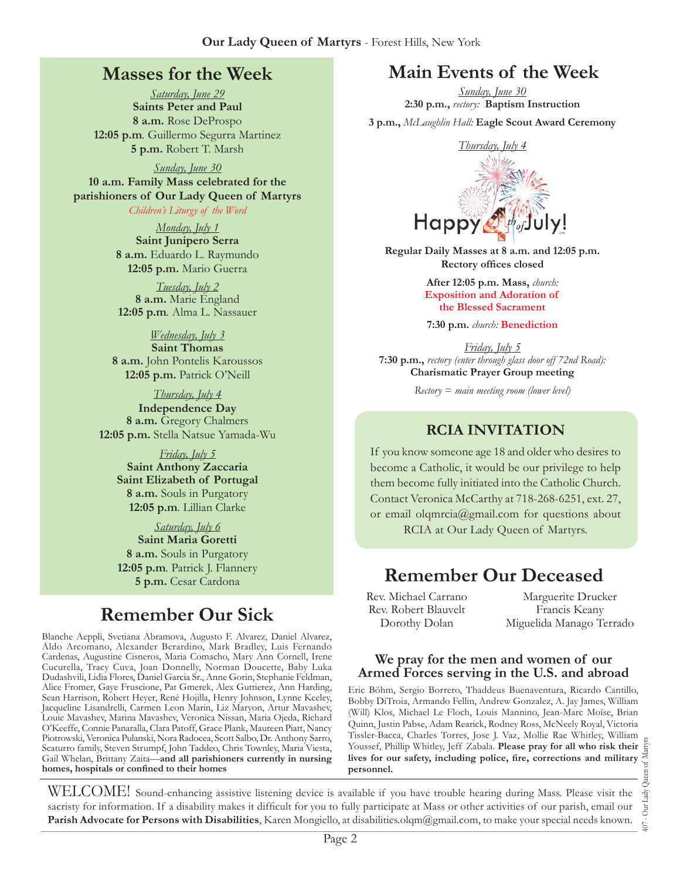## **Masses for the Week**

*Saturday, June 29* **Saints Peter and Paul 8 a.m.** Rose DeProspo **12:05 p.m***.* Guillermo Segurra Martinez **5 p.m.** Robert T. Marsh

*Sunday, June 30* **10 a.m. Family Mass celebrated for the parishioners of Our Lady Queen of Martyrs** *Children's Liturgy of the Word* 

> *Monday, July 1* **Saint Junipero Serra 8 a.m.** Eduardo L. Raymundo **12:05 p.m.** Mario Guerra

*Tuesday, July 2* **8 a.m.** Marie England **12:05 p.m***.* Alma L. Nassauer

#### *Wednesday, July 3*

**Saint Thomas 8 a.m.** John Pontelis Karoussos **12:05 p.m.** Patrick O'Neill

*Thursday, July 4* **Independence Day 8 a.m.** Gregory Chalmers **12:05 p.m.** Stella Natsue Yamada-Wu

*Friday, July 5* **Saint Anthony Zaccaria Saint Elizabeth of Portugal 8 a.m.** Souls in Purgatory **12:05 p.m***.* Lillian Clarke

*Saturday, July 6* **Saint Maria Goretti 8 a.m.** Souls in Purgatory **12:05 p.m***.* Patrick J. Flannery **5 p.m.** Cesar Cardona

# **Remember Our Sick**

Blanche Aeppli, Svetiana Abramova, Augusto F. Alvarez, Daniel Alvarez, Aldo Arcomano, Alexander Berardino, Mark Bradley, Luis Fernando Cardenas, Augustine Cisneros, Maria Comacho, Mary Ann Cornell, Irene Cucurella, Tracy Cuva, Joan Donnelly, Norman Doucette, Baby Luka Dudashvili, Lidia Flores, Daniel Garcia Sr., Anne Gorin, Stephanie Feldman, Alice Fromer, Gaye Fruscione, Pat Gmerek, Alex Guttierez, Ann Harding, Sean Harrison, Robert Heyer, René Hojilla, Henry Johnson, Lynne Keeley, Jacqueline Lisandrelli, Carmen Leon Marin, Liz Maryon, Artur Mavashev, Louie Mavashev, Marina Mavashev, Veronica Nissan, Maria Ojeda, Richard O'Keeffe, Connie Panaralla, Clara Patoff, Grace Plank, Maureen Piatt, Nancy Piotrowski, Veronica Pulanski, Nora Radocea, Scott Salbo, Dr. Anthony Sarro, Scaturro family, Steven Strumpf, John Taddeo, Chris Townley, Maria Viesta, Gail Whelan, Brittany Zaita—**and all parishioners currently in nursing homes, hospitals or confined to their homes**

# **Main Events of the Week**

*Sunday, June 30* **2:30 p.m.,** *rectory:* **Baptism Instruction**

**3 p.m.,** *McLaughlin Hall:* **Eagle Scout Award Ceremony**



**Regular Daily Masses at 8 a.m. and 12:05 p.m. Rectory offices closed**

> **After 12:05 p.m. Mass,** *church:*  **Exposition and Adoration of the Blessed Sacrament**

**7:30 p.m.** *church:* **Benediction**

*Friday, July 5* **7:30 p.m.,** *rectory (enter through glass door off 72nd Road):* **Charismatic Prayer Group meeting**

*Rectory* = *main meeting room (lower level)*

#### **RCIA Invitation**

If you know someone age 18 and older who desires to become a Catholic, it would be our privilege to help them become fully initiated into the Catholic Church. Contact Veronica McCarthy at 718-268-6251, ext. 27, or email olqmrcia[@gmail.com](mailto:rectoryolqm@aol.com) for questions about RCIA at Our Lady Queen of Martyrs.

## **Remember Our Deceased**

Rev. Michael Carrano Rev. Robert Blauvelt Dorothy Dolan

Marguerite Drucker Francis Keany Miguelida Manago Terrado

#### **We pray for the men and women of our Armed Forces serving in the U.S. and abroad**

Eric Böhm, Sergio Borrero, Thaddeus Buenaventura, Ricardo Cantillo, Bobby DiTroia, Armando Fellin, Andrew Gonzalez, A. Jay James, William (Will) Klos, Michael Le Floch, Louis Mannino, Jean-Marc Moïse, Brian Quinn, Justin Pabse, Adam Rearick, Rodney Ross, McNeely Royal, Victoria Tissler-Bacca, Charles Torres, Jose J. Vaz, Mollie Rae Whitley, William Youssef, Phillip Whitley, Jeff Zabala. **Please pray for all who risk their lives for our safety, including police, fire, corrections and military personnel.**

407 - Our Lady Queen of Martyrs Our Lady  $\overline{407}$  .

WELCOME! Sound-enhancing assistive listening device is available if you have trouble hearing during Mass. Please visit the sacristy for information. If a disability makes it difficult for you to fully participate at Mass or other activities of our parish, email our **Parish Advocate for Persons with Disabilities**, Karen Mongiello, at [disabilities.olqm@gmail.com,](mailto:disabilities.olqm@gmail.com) to make your special needs known.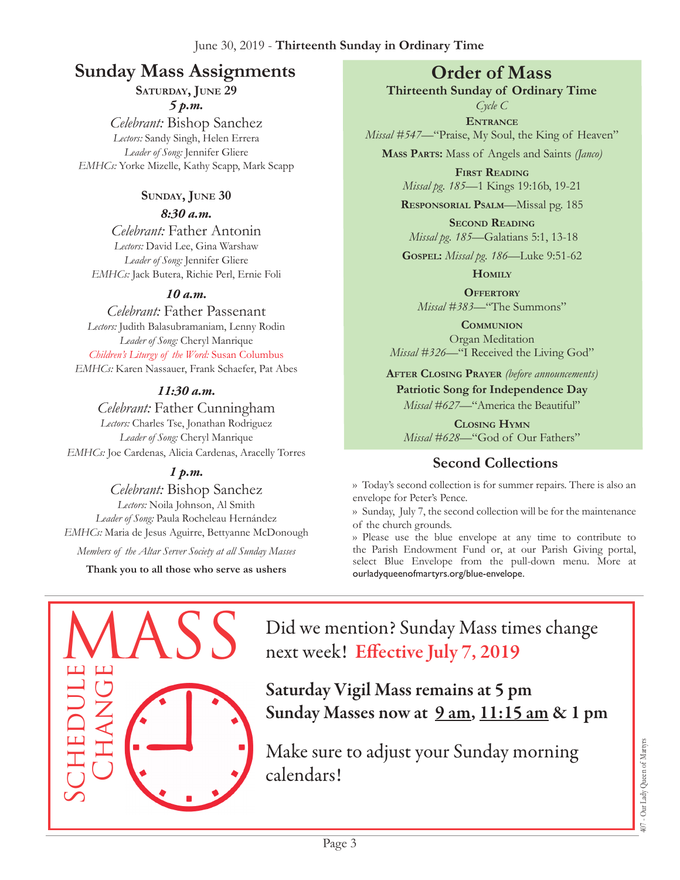# **Sunday Mass Assignments Order of Mass**

**Saturday, June 29**

*5 p.m.* 

*Celebrant:* Bishop Sanchez *Lectors:* Sandy Singh, Helen Errera *Leader of Song:* Jennifer Gliere *EMHCs:* Yorke Mizelle, Kathy Scapp, Mark Scapp

#### **Sunday, June 30** *8:30 a.m.*

*Celebrant:* Father Antonin *Lectors:* David Lee, Gina Warshaw *Leader of Song:* Jennifer Gliere *EMHCs:* Jack Butera, Richie Perl, Ernie Foli

#### *10 a.m.*

*Celebrant:* Father Passenant *Lectors:* Judith Balasubramaniam, Lenny Rodin *Leader of Song:* Cheryl Manrique *Children's Liturgy of the Word:* Susan Columbus *EMHCs:* Karen Nassauer, Frank Schaefer, Pat Abes

#### *11:30 a.m.*

*Celebrant:* Father Cunningham *Lectors:* Charles Tse, Jonathan Rodriguez *Leader of Song:* Cheryl Manrique *EMHCs:* Joe Cardenas, Alicia Cardenas, Aracelly Torres

#### *1 p.m.*

*Celebrant:* Bishop Sanchez *Lectors:* Noila Johnson, Al Smith *Leader of Song:* Paula Rocheleau Hernández *EMHCs:* Maria de Jesus Aguirre, Bettyanne McDonough

*Members of the Altar Server Society at all Sunday Masses*

**Thank you to all those who serve as ushers**

**Thirteenth Sunday of Ordinary Time**

*Cycle C* **Entrance** *Missal #547—*"Praise, My Soul, the King of Heaven"

**Mass Parts:** Mass of Angels and Saints *(Janco)*

**First Reading** *Missal pg. 185—*1 Kings 19:16b, 19-21

**Responsorial Psalm**—Missal pg. 185

**Second Reading** *Missal pg. 185—*Galatians 5:1, 13-18

**Gospel:** *Missal pg. 186—*Luke 9:51-62

**Homily**

**Offertory** *Missal #383—*"The Summons"

**Communion** Organ Meditation *Missal #326—*"I Received the Living God"

**After Closing Prayer** *(before announcements)*

**Patriotic Song for Independence Day** *Missal #627—*"America the Beautiful"

**Closing Hymn** *Missal #628*—"God of Our Fathers"

## **Second Collections**

›› Today's second collection is for summer repairs. There is also an envelope for Peter's Pence.

›› Sunday, July 7, the second collection will be for the maintenance of the church grounds.

›› Please use the blue envelope at any time to contribute to the Parish Endowment Fund or, at our Parish Giving portal, select Blue Envelope from the pull-down menu. More at ourladyqueenofmartyrs.org/blue-envelope.



Did we mention? Sunday Mass times change next week! Effective July 7, 2019

Saturday Vigil Mass remains at 5 pm Sunday Masses now at  $9 \text{ am}$ ,  $11:15 \text{ am}$  & 1 pm

Make sure to adjust your Sunday morning calendars!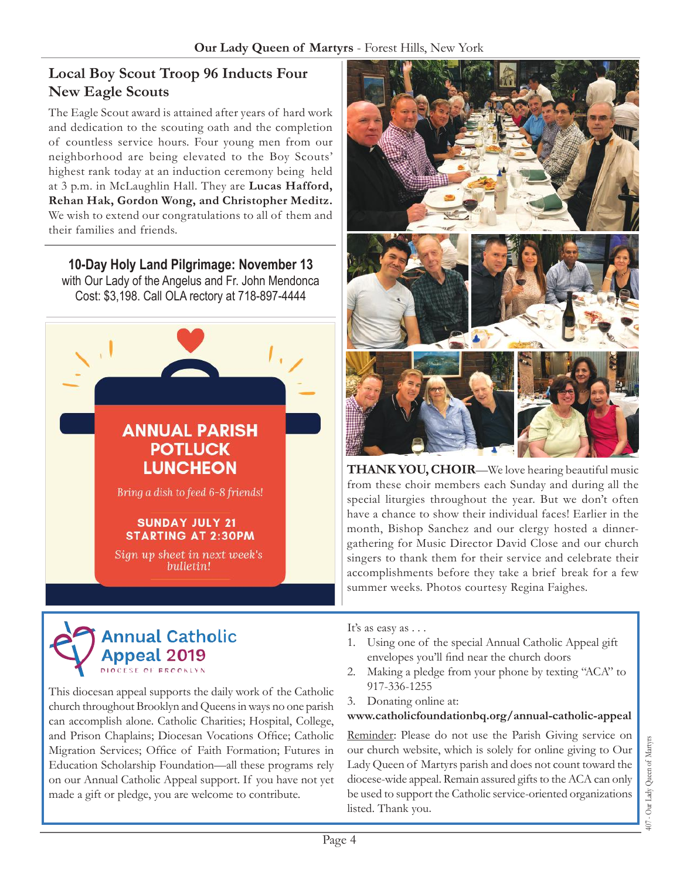## **Local Boy Scout Troop 96 Inducts Four New Eagle Scouts**

The Eagle Scout award is attained after years of hard work and dedication to the scouting oath and the completion of countless service hours. Four young men from our neighborhood are being elevated to the Boy Scouts' highest rank today at an induction ceremony being held at 3 p.m. in McLaughlin Hall. They are **Lucas Hafford, Rehan Hak, Gordon Wong, and Christopher Meditz.**  We wish to extend our congratulations to all of them and their families and friends.

**10-Day Holy Land Pilgrimage: November 13**  with Our Lady of the Angelus and Fr. John Mendonca Cost: \$3,198. Call OLA rectory at 718-897-4444





This diocesan appeal supports the daily work of the Catholic church throughout Brooklyn and Queens in ways no one parish can accomplish alone. Catholic Charities; Hospital, College, and Prison Chaplains; Diocesan Vocations Office; Catholic Migration Services; Office of Faith Formation; Futures in Education Scholarship Foundation—all these programs rely on our Annual Catholic Appeal support. If you have not yet made a gift or pledge, you are welcome to contribute.



**THANK YOU, CHOIR**—We love hearing beautiful music from these choir members each Sunday and during all the special liturgies throughout the year. But we don't often have a chance to show their individual faces! Earlier in the month, Bishop Sanchez and our clergy hosted a dinnergathering for Music Director David Close and our church singers to thank them for their service and celebrate their accomplishments before they take a brief break for a few summer weeks. Photos courtesy Regina Faighes.

It's as easy as . . .

- 1. Using one of the special Annual Catholic Appeal gift envelopes you'll find near the church doors
- 2. Making a pledge from your phone by texting "ACA" to 917-336-1255
- 3. Donating online at:

#### **[www.catholicfoundationbq.org/annual-](www.catholicfoundationbq.org/annual)catholic-appeal**

Reminder: Please do not use the Parish Giving service on our church website, which is solely for online giving to Our Lady Queen of Martyrs parish and does not count toward the diocese-wide appeal. Remain assured gifts to the ACA can only be used to support the Catholic service-oriented organizations listed. Thank you.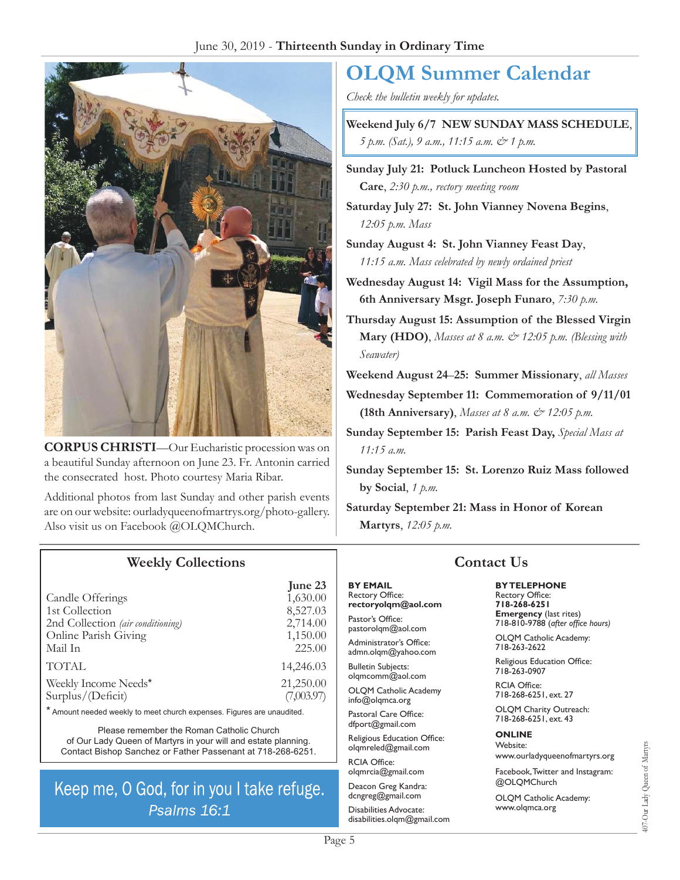

**Corpus Christi**—Our Eucharistic procession was on a beautiful Sunday afternoon on June 23. Fr. Antonin carried the consecrated host. Photo courtesy Maria Ribar.

Additional photos from last Sunday and other parish events are on our website: [ourladyqueenofmartrys.org/photo-gallery.](https://ourladyqueenofmartyrs.org/photo-gallery) Also visit us on Facebook @OLQMChurch.

# **OLQM Summer Calendar**

*Check the bulletin weekly for updates.*

**Weekend July 6/7 NEW SUNDAY Mass Schedule**, *5 p.m. (Sat.), 9 a.m., 11:15 a.m. & 1 p.m.* 

**Sunday July 21: Potluck Luncheon Hosted by Pastoral Care**, *2:30 p.m., rectory meeting room*

**Saturday July 27: St. John Vianney Novena Begins**, *12:05 p.m. Mass*

- **Sunday August 4: St. John Vianney Feast Day**, *11:15 a.m. Mass celebrated by newly ordained priest*
- **Wednesday August 14: Vigil Mass for the Assumption, 6th Anniversary Msgr. Joseph Funaro**, *7:30 p.m.*
- **Thursday August 15: Assumption of the Blessed Virgin Mary (HDO)**, *Masses at 8 a.m.*  $\dot{\mathcal{O}}$  12:05 p.m. (Blessing with *Seawater)*
- **Weekend August 24**–**25: Summer Missionary**, *all Masses*

**Wednesday September 11: Commemoration of 9/11/01 (18th Anniversary)**, *Masses at 8 a.m. & 12:05 p.m.*

**Sunday September 15: Parish Feast Day,** *Special Mass at 11:15 a.m.*

**Sunday September 15: St. Lorenzo Ruiz Mass followed by Social**, *1 p.m.*

**Saturday September 21: Mass in Honor of Korean Martyrs**, *12:05 p.m.*

#### **Weekly Collections**

| June 23                 |
|-------------------------|
| 1,630.00                |
| 8,527.03                |
| 2,714.00                |
| 1,150.00                |
| 225.00                  |
| 14,246.03               |
| 21,250.00<br>(7,003.97) |
|                         |

\* Amount needed weekly to meet church expenses. Figures are unaudited.

Please remember the Roman Catholic Church of Our Lady Queen of Martyrs in your will and estate planning. Contact Bishop Sanchez or Father Passenant at 718-268-6251.

# Keep me, O God, for in you I take refuge. Psalms 16:1

#### **By Email** Rectory Office:

**rectoryolqm@aol.com** Pastor's Office:

pastorolqm@aol.com Administrator's Office: admn.olqm@yahoo.com

Bulletin Subjects: olqmcomm@aol.com

OLQM Catholic Academy info@olqmca.org

Pastoral Care Office: dfport@gmail.com

Religious Education Office: olqmreled@gmail.com

RCIA Office: [olqmrcia@gmail.com](mailto:olqmrcia@gmail.com)

Deacon Greg Kandra: dcngreg@gmail.com

Disabilities Advocate: [disabilities.olqm@gmail.com](mailto:disabilities.olqm@gmail.com)

### **Contact Us**

#### **By Telephone**

Rectory Office: **718-268-6251 Emergency** (last rites) 718-810-9788 (*after office hours)*

OLQM Catholic Academy: 718-263-2622

Religious Education Office: 718-263-0907

RCIA Office: 718-268-6251, ext. 27

OLQM Charity Outreach: 718-268-6251, ext. 43

#### **Online** Website:

www.ourladyqueenofmartyrs.org

Facebook, Twitter and Instagram: @OLQMChurch

OLQM Catholic Academy: <www.olqmca.org>